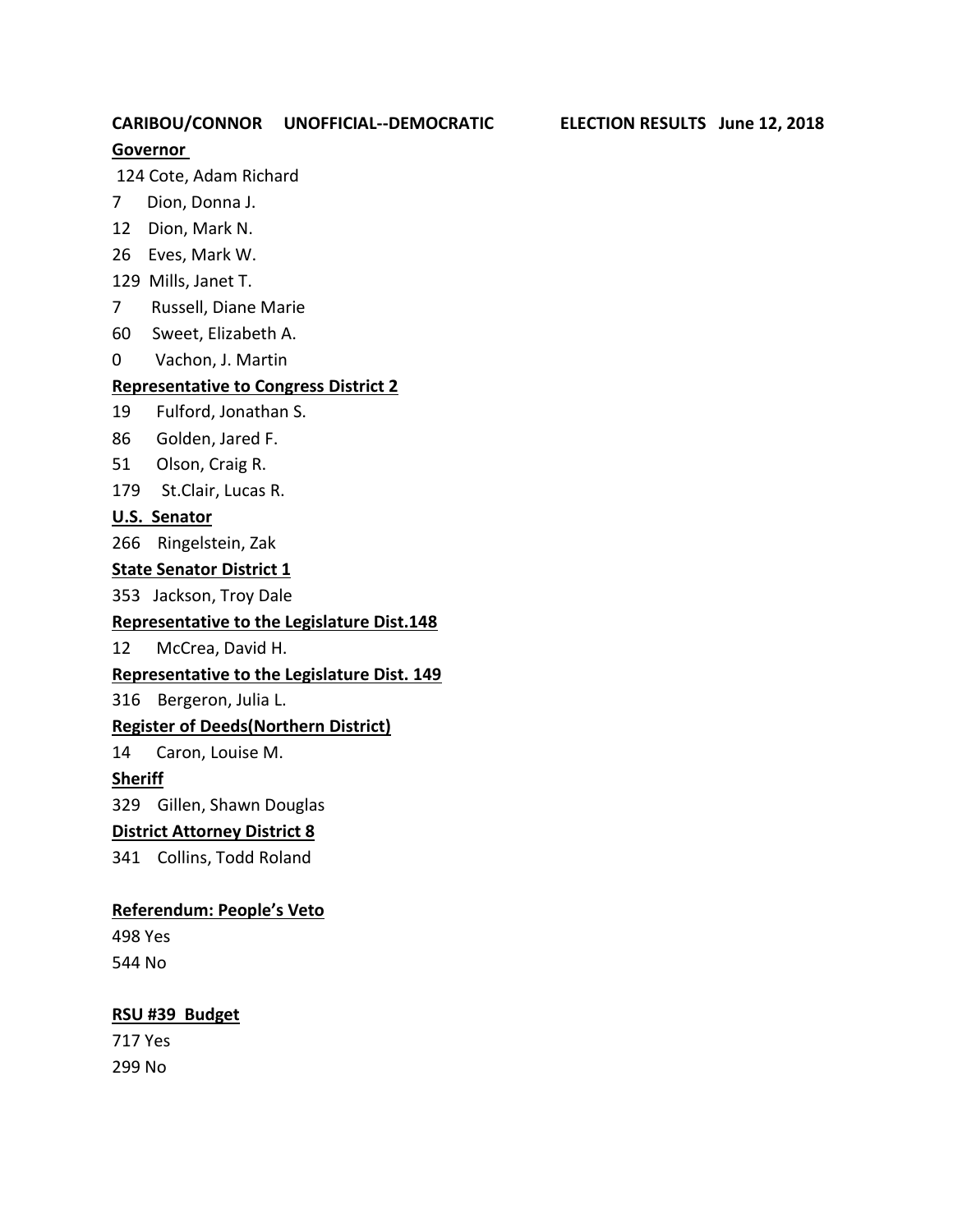## **CARIBOU/CONNOR UNOFFICIAL--DEMOCRATIC ELECTION RESULTS June 12, 2018**

## **Governor**

124 Cote, Adam Richard

- 7 Dion, Donna J.
- 12 Dion, Mark N.
- 26 Eves, Mark W.
- 129 Mills, Janet T.
- 7 Russell, Diane Marie
- 60 Sweet, Elizabeth A.
- 0 Vachon, J. Martin

#### **Representative to Congress District 2**

- 19 Fulford, Jonathan S.
- 86 Golden, Jared F.
- 51 Olson, Craig R.
- 179 St.Clair, Lucas R.

#### **U.S. Senator**

266 Ringelstein, Zak

#### **State Senator District 1**

353 Jackson, Troy Dale

#### **Representative to the Legislature Dist.148**

12 McCrea, David H.

#### **Representative to the Legislature Dist. 149**

316 Bergeron, Julia L.

### **Register of Deeds(Northern District)**

14 Caron, Louise M.

### **Sheriff**

329 Gillen, Shawn Douglas

### **District Attorney District 8**

341 Collins, Todd Roland

#### **Referendum: People's Veto**

498 Yes 544 No

#### **RSU #39 Budget**

717 Yes 299 No